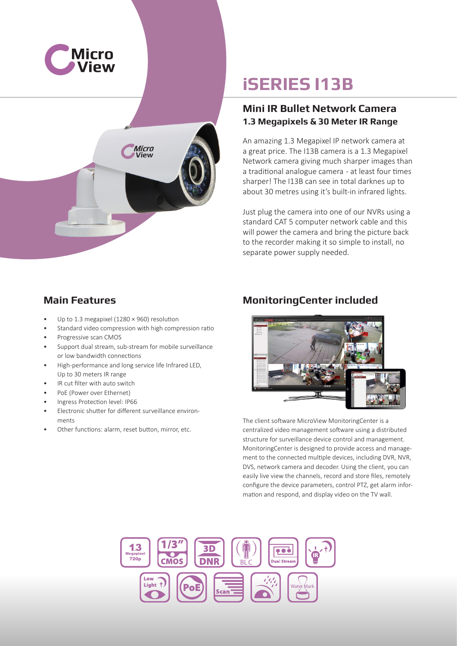



# **iSERIES I13B**

#### **Mini IR Bullet Network Camera 1.3 Megapixels & 30 Meter IR Range**

An amazing 1.3 Megapixel IP network camera at a great price. The I13B camera is a 1.3 Megapixel Network camera giving much sharper images than a traditional analogue camera - at least four times sharper! The I13B can see in total darknes up to about 30 metres using it's built-in infrared lights.

Just plug the camera into one of our NVRs using a standard CAT 5 computer network cable and this will power the camera and bring the picture back to the recorder making it so simple to install, no separate power supply needed.

#### **Main Features**

- Up to 1.3 megapixel (1280 × 960) resolution
- Standard video compression with high compression ratio
- Progressive scan CMOS
- Support dual stream, sub-stream for mobile surveillance or low bandwidth connections
- High-performance and long service life Infrared LED, Up to 30 meters IR range
- IR cut filter with auto switch
- PoE (Power over Ethernet)
- Ingress Protection level: IP66
- Electronic shutter for different surveillance environments
- Other functions: alarm, reset button, mirror, etc.

### **MonitoringCenter included**



The client software MicroView MonitoringCenter is a centralized video management software using a distributed structure for surveillance device control and management. MonitoringCenter is designed to provide access and management to the connected multiple devices, including DVR, NVR, DVS, network camera and decoder. Using the client, you can easily live view the channels, record and store files, remotely configure the device parameters, control PTZ, get alarm information and respond, and display video on the TV wall.